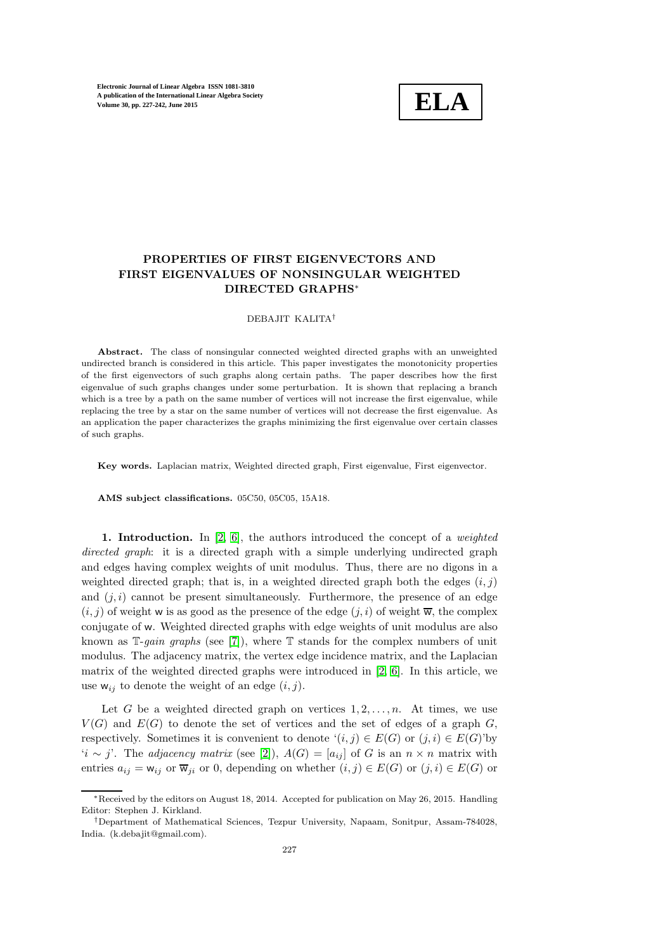

# PROPERTIES OF FIRST EIGENVECTORS AND FIRST EIGENVALUES OF NONSINGULAR WEIGHTED DIRECTED GRAPHS<sup>∗</sup>

### DEBAJIT KALITA†

Abstract. The class of nonsingular connected weighted directed graphs with an unweighted undirected branch is considered in this article. This paper investigates the monotonicity properties of the first eigenvectors of such graphs along certain paths. The paper describes how the first eigenvalue of such graphs changes under some perturbation. It is shown that replacing a branch which is a tree by a path on the same number of vertices will not increase the first eigenvalue, while replacing the tree by a star on the same number of vertices will not decrease the first eigenvalue. As an application the paper characterizes the graphs minimizing the first eigenvalue over certain classes of such graphs.

Key words. Laplacian matrix, Weighted directed graph, First eigenvalue, First eigenvector.

AMS subject classifications. 05C50, 05C05, 15A18.

1. Introduction. In  $[2, 6]$  $[2, 6]$ , the authors introduced the concept of a *weighted* directed graph: it is a directed graph with a simple underlying undirected graph and edges having complex weights of unit modulus. Thus, there are no digons in a weighted directed graph; that is, in a weighted directed graph both the edges  $(i, j)$ and  $(j, i)$  cannot be present simultaneously. Furthermore, the presence of an edge  $(i, j)$  of weight w is as good as the presence of the edge  $(j, i)$  of weight  $\overline{w}$ , the complex conjugate of w. Weighted directed graphs with edge weights of unit modulus are also known as  $\mathbb{T}$ -gain graphs (see [\[7\]](#page-15-2)), where  $\mathbb{T}$  stands for the complex numbers of unit modulus. The adjacency matrix, the vertex edge incidence matrix, and the Laplacian matrix of the weighted directed graphs were introduced in [\[2,](#page-15-0) [6\]](#page-15-1). In this article, we use  $w_{ij}$  to denote the weight of an edge  $(i, j)$ .

Let G be a weighted directed graph on vertices  $1, 2, \ldots, n$ . At times, we use  $V(G)$  and  $E(G)$  to denote the set of vertices and the set of edges of a graph G, respectively. Sometimes it is convenient to denote  $(i, j) \in E(G)$  or  $(j, i) \in E(G)$ 'by 'i ∼ j'. The adjacency matrix (see [\[2\]](#page-15-0)),  $A(G) = [a_{ij}]$  of G is an  $n \times n$  matrix with entries  $a_{ij} = w_{ij}$  or  $\overline{w}_{ji}$  or 0, depending on whether  $(i, j) \in E(G)$  or  $(j, i) \in E(G)$  or

<sup>∗</sup>Received by the editors on August 18, 2014. Accepted for publication on May 26, 2015. Handling Editor: Stephen J. Kirkland.

<sup>†</sup>Department of Mathematical Sciences, Tezpur University, Napaam, Sonitpur, Assam-784028, India. (k.debajit@gmail.com).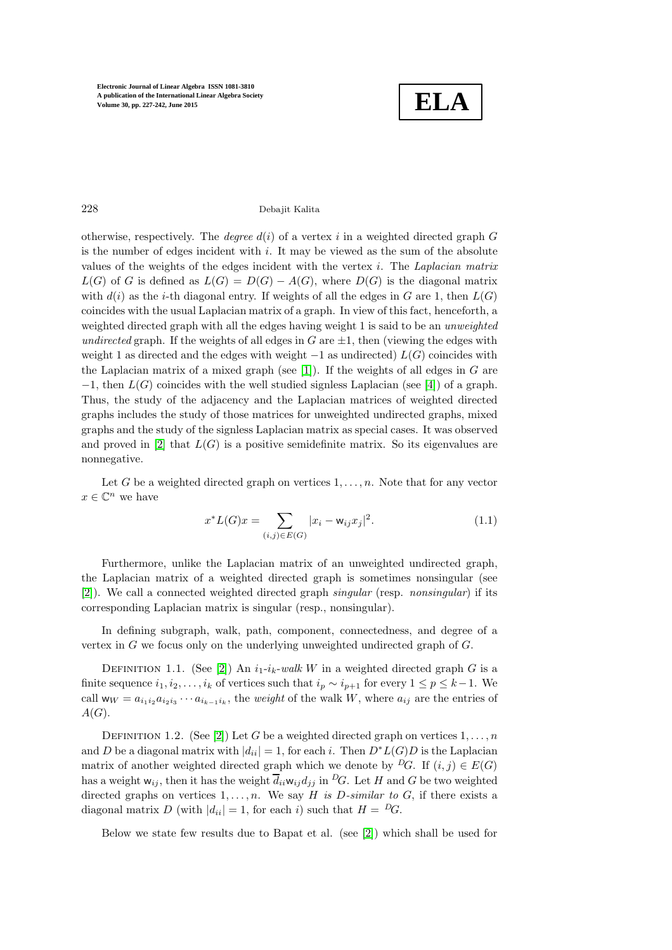

# 228 Debajit Kalita

otherwise, respectively. The *degree*  $d(i)$  of a vertex i in a weighted directed graph G is the number of edges incident with  $i$ . It may be viewed as the sum of the absolute values of the weights of the edges incident with the vertex  $i$ . The *Laplacian matrix*  $L(G)$  of G is defined as  $L(G) = D(G) - A(G)$ , where  $D(G)$  is the diagonal matrix with  $d(i)$  as the *i*-th diagonal entry. If weights of all the edges in G are 1, then  $L(G)$ coincides with the usual Laplacian matrix of a graph. In view of this fact, henceforth, a weighted directed graph with all the edges having weight 1 is said to be an *unweighted* undirected graph. If the weights of all edges in G are  $\pm 1$ , then (viewing the edges with weight 1 as directed and the edges with weight  $-1$  as undirected)  $L(G)$  coincides with the Laplacian matrix of a mixed graph (see [\[1\]](#page-15-3)). If the weights of all edges in  $G$  are  $-1$ , then  $L(G)$  coincides with the well studied signless Laplacian (see [\[4\]](#page-15-4)) of a graph. Thus, the study of the adjacency and the Laplacian matrices of weighted directed graphs includes the study of those matrices for unweighted undirected graphs, mixed graphs and the study of the signless Laplacian matrix as special cases. It was observed and proved in [\[2\]](#page-15-0) that  $L(G)$  is a positive semidefinite matrix. So its eigenvalues are nonnegative.

Let G be a weighted directed graph on vertices  $1, \ldots, n$ . Note that for any vector  $x \in \mathbb{C}^n$  we have

$$
x^*L(G)x = \sum_{(i,j)\in E(G)} |x_i - \mathsf{w}_{ij}x_j|^2.
$$
 (1.1)

Furthermore, unlike the Laplacian matrix of an unweighted undirected graph, the Laplacian matrix of a weighted directed graph is sometimes nonsingular (see [\[2\]](#page-15-0)). We call a connected weighted directed graph singular (resp. nonsingular) if its corresponding Laplacian matrix is singular (resp., nonsingular).

In defining subgraph, walk, path, component, connectedness, and degree of a vertex in  $G$  we focus only on the underlying unweighted undirected graph of  $G$ .

DEFINITION 1.1. (See [\[2\]](#page-15-0)) An  $i_1-i_k-walk$  W in a weighted directed graph G is a finite sequence  $i_1, i_2, \ldots, i_k$  of vertices such that  $i_p \sim i_{p+1}$  for every  $1 \leq p \leq k-1$ . We call  $w_W = a_{i_1 i_2} a_{i_2 i_3} \cdots a_{i_{k-1} i_k}$ , the *weight* of the walk W, where  $a_{ij}$  are the entries of  $A(G).$ 

DEFINITION 1.2. (See [\[2\]](#page-15-0)) Let G be a weighted directed graph on vertices  $1, \ldots, n$ and D be a diagonal matrix with  $|d_{ii}| = 1$ , for each i. Then  $D^*L(G)D$  is the Laplacian matrix of another weighted directed graph which we denote by <sup>D</sup>G. If  $(i, j) \in E(G)$ has a weight  $w_{ij}$ , then it has the weight  $\overline{d}_{ii}w_{ij}d_{jj}$  in  ${}^D G$ . Let H and G be two weighted directed graphs on vertices  $1, \ldots, n$ . We say H is D-similar to G, if there exists a diagonal matrix D (with  $|d_{ii}| = 1$ , for each i) such that  $H = {}^D G$ .

Below we state few results due to Bapat et al. (see [\[2\]](#page-15-0)) which shall be used for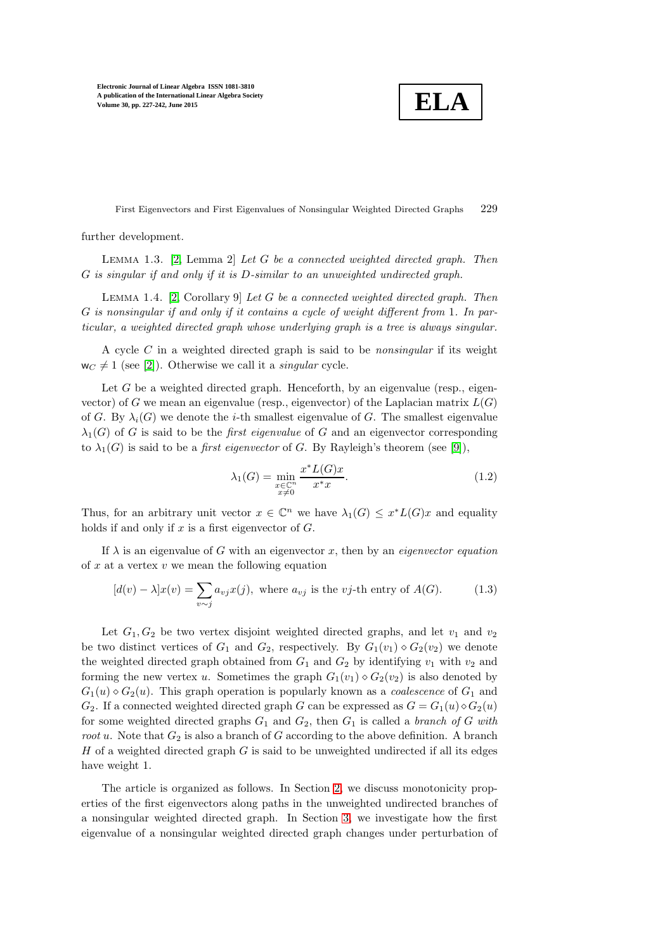**ELA**

First Eigenvectors and First Eigenvalues of Nonsingular Weighted Directed Graphs 229

<span id="page-2-0"></span>further development.

<span id="page-2-1"></span>LEMMA 1.3. [\[2,](#page-15-0) Lemma 2] Let  $G$  be a connected weighted directed graph. Then G is singular if and only if it is D-similar to an unweighted undirected graph.

LEMMA 1.4. [\[2,](#page-15-0) Corollary 9] Let G be a connected weighted directed graph. Then G is nonsingular if and only if it contains a cycle of weight different from 1. In particular, a weighted directed graph whose underlying graph is a tree is always singular.

A cycle  $C$  in a weighted directed graph is said to be *nonsingular* if its weight  $w_C \neq 1$  (see [\[2\]](#page-15-0)). Otherwise we call it a *singular* cycle.

Let  $G$  be a weighted directed graph. Henceforth, by an eigenvalue (resp., eigenvector) of G we mean an eigenvalue (resp., eigenvector) of the Laplacian matrix  $L(G)$ of G. By  $\lambda_i(G)$  we denote the *i*-th smallest eigenvalue of G. The smallest eigenvalue  $\lambda_1(G)$  of G is said to be the *first eigenvalue* of G and an eigenvector corresponding to  $\lambda_1(G)$  is said to be a *first eigenvector* of G. By Rayleigh's theorem (see [\[9\]](#page-15-5)),

$$
\lambda_1(G) = \min_{\substack{x \in \mathbb{C}^n \\ x \neq 0}} \frac{x^* L(G)x}{x^* x}.
$$
\n(1.2)

Thus, for an arbitrary unit vector  $x \in \mathbb{C}^n$  we have  $\lambda_1(G) \leq x^*L(G)x$  and equality holds if and only if  $x$  is a first eigenvector of  $G$ .

If  $\lambda$  is an eigenvalue of G with an eigenvector x, then by an *eigenvector equation* of  $x$  at a vertex  $v$  we mean the following equation

$$
[d(v) - \lambda]x(v) = \sum_{v \sim j} a_{vj}x(j), \text{ where } a_{vj} \text{ is the } vj\text{-th entry of } A(G). \tag{1.3}
$$

Let  $G_1, G_2$  be two vertex disjoint weighted directed graphs, and let  $v_1$  and  $v_2$ be two distinct vertices of  $G_1$  and  $G_2$ , respectively. By  $G_1(v_1) \diamond G_2(v_2)$  we denote the weighted directed graph obtained from  $G_1$  and  $G_2$  by identifying  $v_1$  with  $v_2$  and forming the new vertex u. Sometimes the graph  $G_1(v_1) \diamond G_2(v_2)$  is also denoted by  $G_1(u) \diamond G_2(u)$ . This graph operation is popularly known as a *coalescence* of  $G_1$  and  $G_2$ . If a connected weighted directed graph G can be expressed as  $G = G_1(u) \diamond G_2(u)$ for some weighted directed graphs  $G_1$  and  $G_2$ , then  $G_1$  is called a *branch of G with root u.* Note that  $G_2$  is also a branch of G according to the above definition. A branch  $H$  of a weighted directed graph  $G$  is said to be unweighted undirected if all its edges have weight 1.

The article is organized as follows. In Section [2,](#page-3-0) we discuss monotonicity properties of the first eigenvectors along paths in the unweighted undirected branches of a nonsingular weighted directed graph. In Section [3,](#page-7-0) we investigate how the first eigenvalue of a nonsingular weighted directed graph changes under perturbation of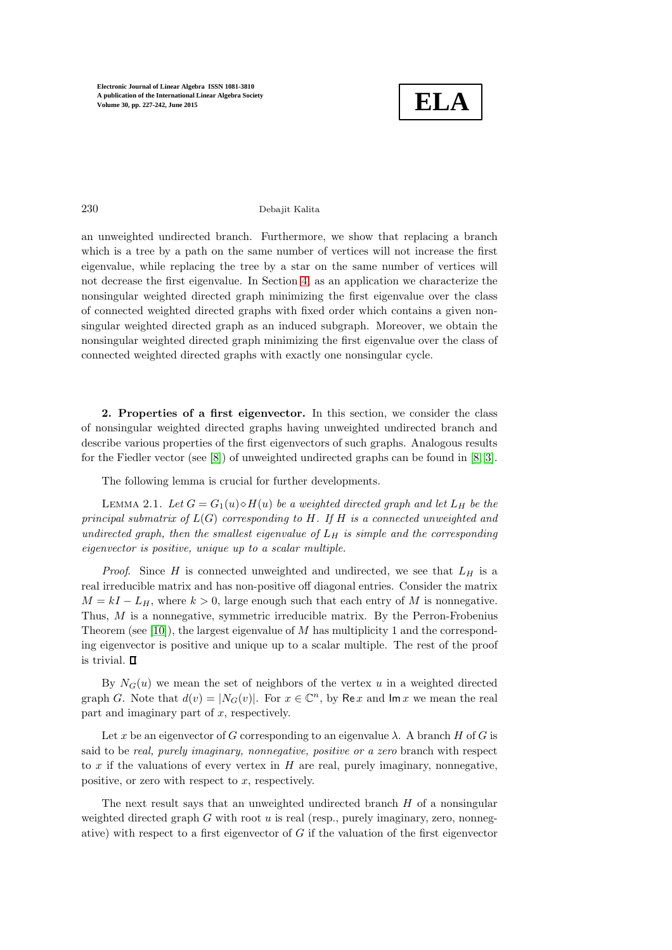

230 Debajit Kalita

an unweighted undirected branch. Furthermore, we show that replacing a branch which is a tree by a path on the same number of vertices will not increase the first eigenvalue, while replacing the tree by a star on the same number of vertices will not decrease the first eigenvalue. In Section [4,](#page-11-0) as an application we characterize the nonsingular weighted directed graph minimizing the first eigenvalue over the class of connected weighted directed graphs with fixed order which contains a given nonsingular weighted directed graph as an induced subgraph. Moreover, we obtain the nonsingular weighted directed graph minimizing the first eigenvalue over the class of connected weighted directed graphs with exactly one nonsingular cycle.

<span id="page-3-0"></span>2. Properties of a first eigenvector. In this section, we consider the class of nonsingular weighted directed graphs having unweighted undirected branch and describe various properties of the first eigenvectors of such graphs. Analogous results for the Fiedler vector (see [\[8\]](#page-15-6)) of unweighted undirected graphs can be found in [\[8,](#page-15-6) [3\]](#page-15-7).

<span id="page-3-1"></span>The following lemma is crucial for further developments.

LEMMA 2.1. Let  $G = G_1(u) \diamond H(u)$  be a weighted directed graph and let  $L_H$  be the principal submatrix of  $L(G)$  corresponding to H. If H is a connected unweighted and undirected graph, then the smallest eigenvalue of  $L_H$  is simple and the corresponding eigenvector is positive, unique up to a scalar multiple.

*Proof.* Since H is connected unweighted and undirected, we see that  $L_H$  is a real irreducible matrix and has non-positive off diagonal entries. Consider the matrix  $M = kI - L_H$ , where  $k > 0$ , large enough such that each entry of M is nonnegative. Thus, M is a nonnegative, symmetric irreducible matrix. By the Perron-Frobenius Theorem (see [\[10\]](#page-15-8)), the largest eigenvalue of  $M$  has multiplicity 1 and the corresponding eigenvector is positive and unique up to a scalar multiple. The rest of the proof is trivial.  $\Box$ 

By  $N_G(u)$  we mean the set of neighbors of the vertex u in a weighted directed graph G. Note that  $d(v) = |N_G(v)|$ . For  $x \in \mathbb{C}^n$ , by Re x and  $\text{Im } x$  we mean the real part and imaginary part of  $x$ , respectively.

Let x be an eigenvector of G corresponding to an eigenvalue  $\lambda$ . A branch H of G is said to be real, purely imaginary, nonnegative, positive or a zero branch with respect to  $x$  if the valuations of every vertex in  $H$  are real, purely imaginary, nonnegative, positive, or zero with respect to  $x$ , respectively.

The next result says that an unweighted undirected branch  $H$  of a nonsingular weighted directed graph  $G$  with root  $u$  is real (resp., purely imaginary, zero, nonnegative) with respect to a first eigenvector of  $G$  if the valuation of the first eigenvector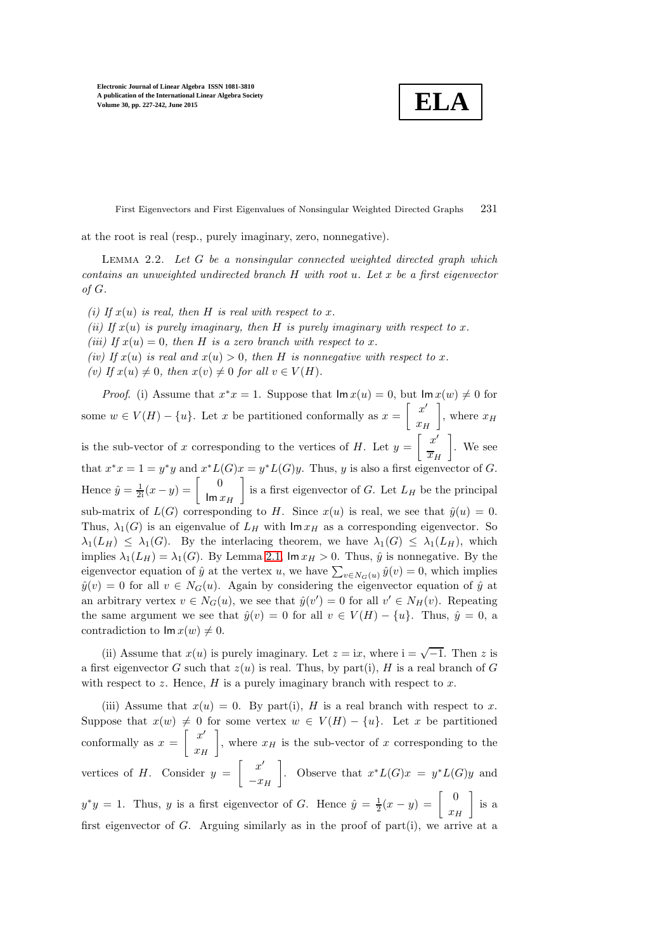**ELA**

First Eigenvectors and First Eigenvalues of Nonsingular Weighted Directed Graphs 231

<span id="page-4-0"></span>at the root is real (resp., purely imaginary, zero, nonnegative).

LEMMA 2.2. Let  $G$  be a nonsingular connected weighted directed graph which contains an unweighted undirected branch  $H$  with root u. Let x be a first eigenvector of G.

(i) If  $x(u)$  is real, then H is real with respect to x. (ii) If  $x(u)$  is purely imaginary, then H is purely imaginary with respect to x. (iii) If  $x(u) = 0$ , then H is a zero branch with respect to x. (iv) If  $x(u)$  is real and  $x(u) > 0$ , then H is nonnegative with respect to x. (v) If  $x(u) \neq 0$ , then  $x(v) \neq 0$  for all  $v \in V(H)$ .

*Proof.* (i) Assume that  $x^*x = 1$ . Suppose that  $\text{Im } x(u) = 0$ , but  $\text{Im } x(w) \neq 0$  for some  $w \in V(H) - \{u\}$ . Let x be partitioned conformally as  $x = \begin{bmatrix} x' \\ x' \end{bmatrix}$  $x_H$ , where  $x_H$ is the sub-vector of x corresponding to the vertices of H. Let  $y = \left[\begin{array}{c} x' \\ x \end{array}\right]$  $\overline{x}_H$  . We see that  $x^*x = 1 = y^*y$  and  $x^*L(G)x = y^*L(G)y$ . Thus, y is also a first eigenvector of G. Hence  $\hat{y} = \frac{1}{2i}(x - y) = \begin{bmatrix} 0 \\ \lim_{x \to 0} 0 \end{bmatrix}$  $\text{Im }x_H$ is a first eigenvector of G. Let  $L_H$  be the principal sub-matrix of  $L(G)$  corresponding to H. Since  $x(u)$  is real, we see that  $\hat{y}(u) = 0$ . Thus,  $\lambda_1(G)$  is an eigenvalue of  $L_H$  with  $\operatorname{Im} x_H$  as a corresponding eigenvector. So  $\lambda_1(L_H) \leq \lambda_1(G)$ . By the interlacing theorem, we have  $\lambda_1(G) \leq \lambda_1(L_H)$ , which implies  $\lambda_1(L_H) = \lambda_1(G)$ . By Lemma [2.1,](#page-3-1)  $\text{Im } x_H > 0$ . Thus,  $\hat{y}$  is nonnegative. By the eigenvector equation of  $\hat{y}$  at the vertex u, we have  $\sum_{v \in N_G(u)} \hat{y}(v) = 0$ , which implies  $\hat{y}(v) = 0$  for all  $v \in N_G(u)$ . Again by considering the eigenvector equation of  $\hat{y}$  at an arbitrary vertex  $v \in N_G(u)$ , we see that  $\hat{y}(v') = 0$  for all  $v' \in N_H(v)$ . Repeating the same argument we see that  $\hat{y}(v) = 0$  for all  $v \in V(H) - \{u\}$ . Thus,  $\hat{y} = 0$ , a contradiction to  $\text{Im } x(w) \neq 0$ .

(ii) Assume that  $x(u)$  is purely imaginary. Let  $z = ix$ , where  $i = \sqrt{-1}$ . Then z is a first eigenvector G such that  $z(u)$  is real. Thus, by part(i), H is a real branch of G with respect to z. Hence,  $H$  is a purely imaginary branch with respect to  $x$ .

(iii) Assume that  $x(u) = 0$ . By part(i), H is a real branch with respect to x. Suppose that  $x(w) \neq 0$  for some vertex  $w \in V(H) - \{u\}$ . Let x be partitioned conformally as  $x = \begin{bmatrix} x' \end{bmatrix}$  $x_H$ , where  $x_H$  is the sub-vector of x corresponding to the vertices of H. Consider  $y = \begin{bmatrix} x' \end{bmatrix}$  $-x_H$ . Observe that  $x^*L(G)x = y^*L(G)y$  and  $y^*y = 1$ . Thus, y is a first eigenvector of G. Hence  $\hat{y} = \frac{1}{2}(x - y) = \begin{bmatrix} 0 \\ x \\ x \end{bmatrix}$  $x_H$  is a first eigenvector of G. Arguing similarly as in the proof of part(i), we arrive at a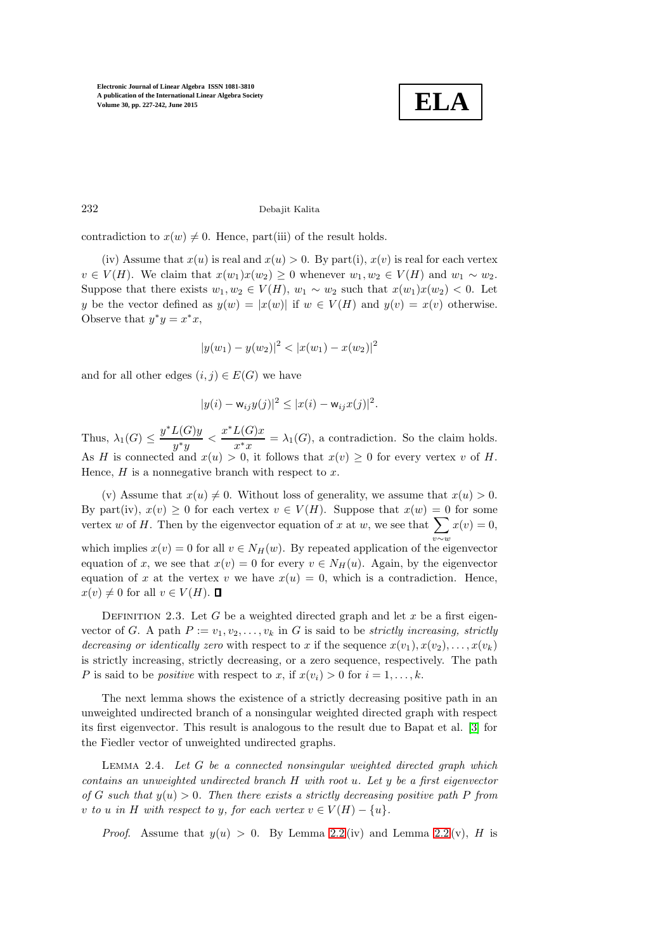

# 232 Debajit Kalita

contradiction to  $x(w) \neq 0$ . Hence, part(iii) of the result holds.

(iv) Assume that  $x(u)$  is real and  $x(u) > 0$ . By part(i),  $x(v)$  is real for each vertex  $v \in V(H)$ . We claim that  $x(w_1)x(w_2) \geq 0$  whenever  $w_1, w_2 \in V(H)$  and  $w_1 \sim w_2$ . Suppose that there exists  $w_1, w_2 \in V(H)$ ,  $w_1 \sim w_2$  such that  $x(w_1)x(w_2) < 0$ . Let y be the vector defined as  $y(w) = |x(w)|$  if  $w \in V(H)$  and  $y(v) = x(v)$  otherwise. Observe that  $y^*y = x^*x$ ,

$$
|y(w_1) - y(w_2)|^2 < |x(w_1) - x(w_2)|^2
$$

and for all other edges  $(i, j) \in E(G)$  we have

$$
|y(i) - w_{ij}y(j)|^2 \le |x(i) - w_{ij}x(j)|^2.
$$

Thus,  $\lambda_1(G) \leq \frac{y^* L(G) y}{y^* y}$  $rac{L(G)y}{y^*y} < \frac{x^*L(G)x}{x^*x}$  $\frac{\Delta(G)x}{x^*x} = \lambda_1(G)$ , a contradiction. So the claim holds. As H is connected and  $x(u) > 0$ , it follows that  $x(v) \geq 0$  for every vertex v of H. Hence,  $H$  is a nonnegative branch with respect to  $x$ .

(v) Assume that  $x(u) \neq 0$ . Without loss of generality, we assume that  $x(u) > 0$ . By part(iv),  $x(v) \geq 0$  for each vertex  $v \in V(H)$ . Suppose that  $x(w) = 0$  for some vertex w of H. Then by the eigenvector equation of x at w, we see that  $\sum x(v) = 0$ , which implies  $x(v) = 0$  for all  $v \in N_H(w)$ . By repeated application of the eigenvector equation of x, we see that  $x(v) = 0$  for every  $v \in N_H(u)$ . Again, by the eigenvector equation of x at the vertex v we have  $x(u) = 0$ , which is a contradiction. Hence,  $x(v) \neq 0$  for all  $v \in V(H)$ .  $\Box$ 

DEFINITION 2.3. Let G be a weighted directed graph and let x be a first eigenvector of G. A path  $P := v_1, v_2, \ldots, v_k$  in G is said to be strictly increasing, strictly decreasing or identically zero with respect to x if the sequence  $x(v_1), x(v_2), \ldots, x(v_k)$ is strictly increasing, strictly decreasing, or a zero sequence, respectively. The path P is said to be *positive* with respect to x, if  $x(v_i) > 0$  for  $i = 1, ..., k$ .

The next lemma shows the existence of a strictly decreasing positive path in an unweighted undirected branch of a nonsingular weighted directed graph with respect its first eigenvector. This result is analogous to the result due to Bapat et al. [\[3\]](#page-15-7) for the Fiedler vector of unweighted undirected graphs.

<span id="page-5-0"></span>LEMMA 2.4. Let  $G$  be a connected nonsingular weighted directed graph which contains an unweighted undirected branch  $H$  with root u. Let  $y$  be a first eigenvector of G such that  $y(u) > 0$ . Then there exists a strictly decreasing positive path P from v to u in H with respect to y, for each vertex  $v \in V(H) - \{u\}$ .

*Proof.* Assume that  $y(u) > 0$ . By Lemma [2.2](#page-4-0) (iv) and Lemma 2.2 (v), H is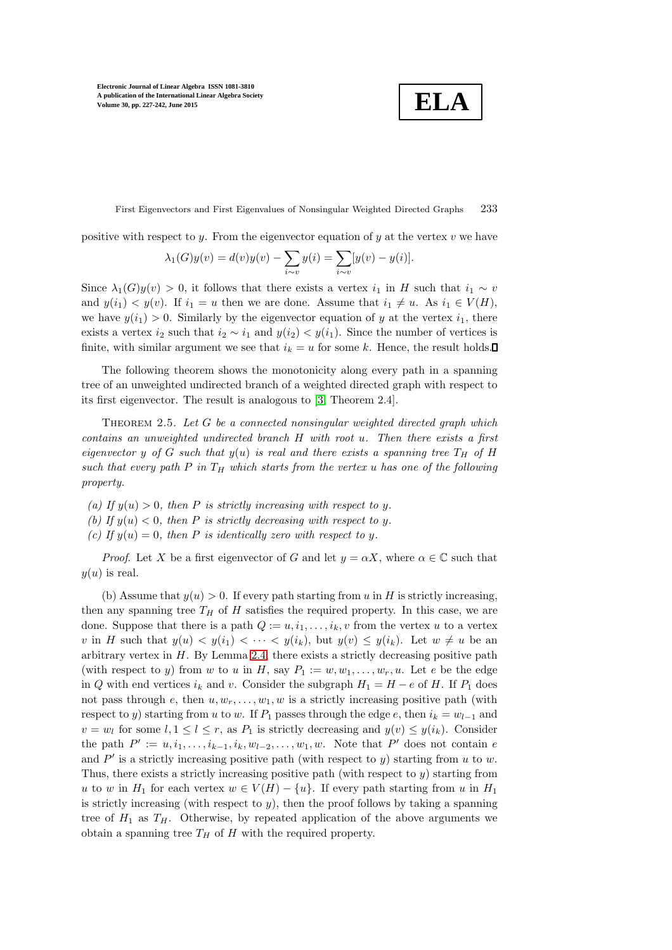**ELA**

First Eigenvectors and First Eigenvalues of Nonsingular Weighted Directed Graphs 233

positive with respect to y. From the eigenvector equation of y at the vertex  $v$  we have

$$
\lambda_1(G)y(v) = d(v)y(v) - \sum_{i \sim v} y(i) = \sum_{i \sim v} [y(v) - y(i)].
$$

Since  $\lambda_1(G)y(v) > 0$ , it follows that there exists a vertex  $i_1$  in H such that  $i_1 \sim v$ and  $y(i_1) < y(v)$ . If  $i_1 = u$  then we are done. Assume that  $i_1 \neq u$ . As  $i_1 \in V(H)$ , we have  $y(i_1) > 0$ . Similarly by the eigenvector equation of y at the vertex  $i_1$ , there exists a vertex i<sub>2</sub> such that  $i_2 \sim i_1$  and  $y(i_2) < y(i_1)$ . Since the number of vertices is finite, with similar argument we see that  $i_k = u$  for some k. Hence, the result holds.

The following theorem shows the monotonicity along every path in a spanning tree of an unweighted undirected branch of a weighted directed graph with respect to its first eigenvector. The result is analogous to [\[3,](#page-15-7) Theorem 2.4].

<span id="page-6-0"></span>THEOREM 2.5. Let  $G$  be a connected nonsingular weighted directed graph which contains an unweighted undirected branch H with root u. Then there exists a first eigenvector y of G such that  $y(u)$  is real and there exists a spanning tree  $T_H$  of H such that every path P in  $T_H$  which starts from the vertex u has one of the following property.

- (a) If  $y(u) > 0$ , then P is strictly increasing with respect to y.
- (b) If  $y(u) < 0$ , then P is strictly decreasing with respect to y.
- (c) If  $y(u) = 0$ , then P is identically zero with respect to y.

*Proof.* Let X be a first eigenvector of G and let  $y = \alpha X$ , where  $\alpha \in \mathbb{C}$  such that  $y(u)$  is real.

(b) Assume that  $y(u) > 0$ . If every path starting from u in H is strictly increasing, then any spanning tree  $T_H$  of H satisfies the required property. In this case, we are done. Suppose that there is a path  $Q := u, i_1, \ldots, i_k, v$  from the vertex u to a vertex v in H such that  $y(u) < y(i_1) < \cdots < y(i_k)$ , but  $y(v) \leq y(i_k)$ . Let  $w \neq u$  be an arbitrary vertex in  $H$ . By Lemma [2.4,](#page-5-0) there exists a strictly decreasing positive path (with respect to y) from w to u in H, say  $P_1 := w, w_1, \ldots, w_r, u$ . Let e be the edge in Q with end vertices  $i_k$  and v. Consider the subgraph  $H_1 = H - e$  of H. If  $P_1$  does not pass through e, then  $u, w_r, \ldots, w_1, w$  is a strictly increasing positive path (with respect to y) starting from u to w. If  $P_1$  passes through the edge e, then  $i_k = w_{l-1}$  and  $v = w_l$  for some  $l, 1 \leq l \leq r$ , as  $P_1$  is strictly decreasing and  $y(v) \leq y(i_k)$ . Consider the path  $P' := u, i_1, \ldots, i_{k-1}, i_k, w_{l-2}, \ldots, w_1, w$ . Note that  $P'$  does not contain  $e$ and  $P'$  is a strictly increasing positive path (with respect to y) starting from u to w. Thus, there exists a strictly increasing positive path (with respect to  $y$ ) starting from u to w in  $H_1$  for each vertex  $w \in V(H) - \{u\}$ . If every path starting from u in  $H_1$ is strictly increasing (with respect to  $y$ ), then the proof follows by taking a spanning tree of  $H_1$  as  $T_H$ . Otherwise, by repeated application of the above arguments we obtain a spanning tree  $T_H$  of  $H$  with the required property.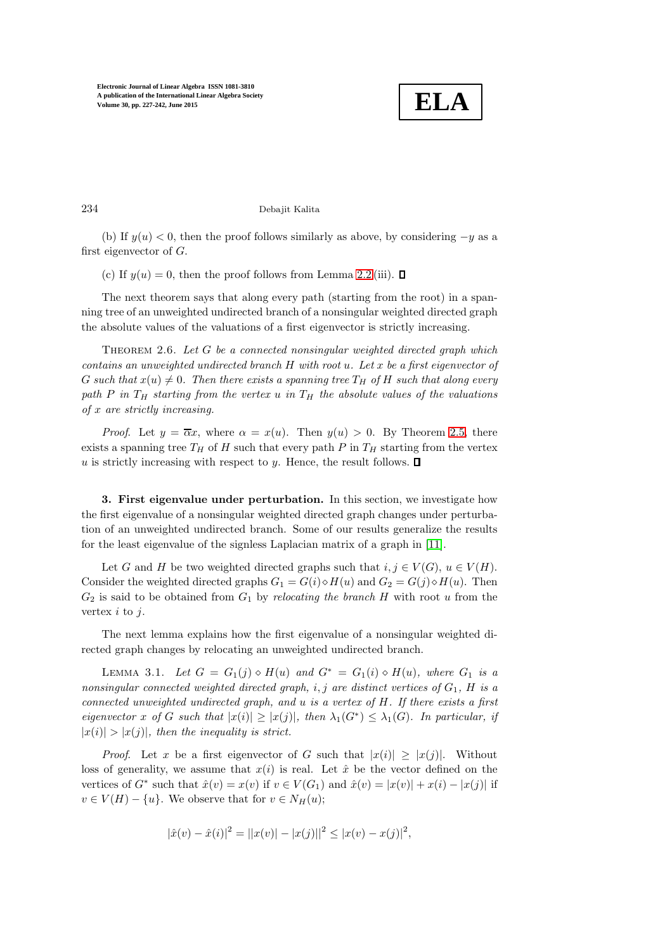

234 Debajit Kalita

(b) If  $y(u) < 0$ , then the proof follows similarly as above, by considering  $-y$  as a first eigenvector of G.

(c) If  $y(u) = 0$ , then the proof follows from Lemma [2.2](#page-4-0) (iii).  $\Box$ 

The next theorem says that along every path (starting from the root) in a spanning tree of an unweighted undirected branch of a nonsingular weighted directed graph the absolute values of the valuations of a first eigenvector is strictly increasing.

<span id="page-7-2"></span>THEOREM 2.6. Let  $G$  be a connected nonsingular weighted directed graph which contains an unweighted undirected branch  $H$  with root  $u$ . Let  $x$  be a first eigenvector of G such that  $x(u) \neq 0$ . Then there exists a spanning tree  $T_H$  of H such that along every path P in  $T_H$  starting from the vertex u in  $T_H$  the absolute values of the valuations of x are strictly increasing.

*Proof.* Let  $y = \overline{\alpha}x$ , where  $\alpha = x(u)$ . Then  $y(u) > 0$ . By Theorem [2.5,](#page-6-0) there exists a spanning tree  $T_H$  of H such that every path P in  $T_H$  starting from the vertex  $u$  is strictly increasing with respect to  $y.$  Hence, the result follows.  $\square$ 

<span id="page-7-0"></span>3. First eigenvalue under perturbation. In this section, we investigate how the first eigenvalue of a nonsingular weighted directed graph changes under perturbation of an unweighted undirected branch. Some of our results generalize the results for the least eigenvalue of the signless Laplacian matrix of a graph in [\[11\]](#page-15-9).

Let G and H be two weighted directed graphs such that  $i, j \in V(G)$ ,  $u \in V(H)$ . Consider the weighted directed graphs  $G_1 = G(i) \diamond H(u)$  and  $G_2 = G(j) \diamond H(u)$ . Then  $G_2$  is said to be obtained from  $G_1$  by relocating the branch H with root u from the vertex  $i$  to  $j$ .

<span id="page-7-1"></span>The next lemma explains how the first eigenvalue of a nonsingular weighted directed graph changes by relocating an unweighted undirected branch.

LEMMA 3.1. Let  $G = G_1(j) \diamond H(u)$  and  $G^* = G_1(i) \diamond H(u)$ , where  $G_1$  is a nonsingular connected weighted directed graph, i, j are distinct vertices of  $G_1$ , H is a connected unweighted undirected graph, and u is a vertex of H. If there exists a first eigenvector x of G such that  $|x(i)| \ge |x(j)|$ , then  $\lambda_1(G^*) \le \lambda_1(G)$ . In particular, if  $|x(i)| > |x(j)|$ , then the inequality is strict.

*Proof.* Let x be a first eigenvector of G such that  $|x(i)| \geq |x(j)|$ . Without loss of generality, we assume that  $x(i)$  is real. Let  $\hat{x}$  be the vector defined on the vertices of  $G^*$  such that  $\hat{x}(v) = x(v)$  if  $v \in V(G_1)$  and  $\hat{x}(v) = |x(v)| + x(i) - |x(j)|$  if  $v \in V(H) - \{u\}$ . We observe that for  $v \in N_H(u)$ ;

$$
|\hat{x}(v) - \hat{x}(i)|^2 = ||x(v)| - |x(j)||^2 \le |x(v) - x(j)|^2,
$$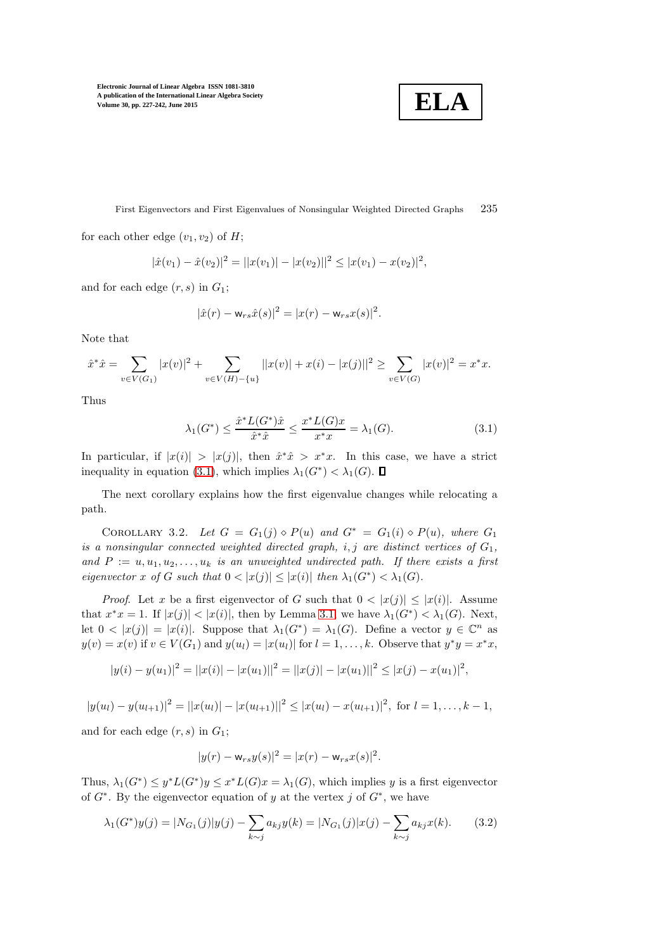$$
\boxed{\textbf{ELA}}
$$

First Eigenvectors and First Eigenvalues of Nonsingular Weighted Directed Graphs 235

for each other edge  $(v_1, v_2)$  of H;

$$
|\hat{x}(v_1) - \hat{x}(v_2)|^2 = ||x(v_1)| - |x(v_2)||^2 \leq |x(v_1) - x(v_2)|^2,
$$

and for each edge  $(r, s)$  in  $G_1$ ;

$$
|\hat{x}(r) - w_{rs}\hat{x}(s)|^2 = |x(r) - w_{rs}x(s)|^2.
$$

Note that

$$
\hat{x}^* \hat{x} = \sum_{v \in V(G_1)} |x(v)|^2 + \sum_{v \in V(H) - \{u\}} ||x(v)| + x(i) - |x(j)||^2 \ge \sum_{v \in V(G)} |x(v)|^2 = x^* x.
$$

<span id="page-8-0"></span>Thus

$$
\lambda_1(G^*) \le \frac{\hat{x}^* L(G^*) \hat{x}}{\hat{x}^* \hat{x}} \le \frac{x^* L(G) x}{x^* x} = \lambda_1(G). \tag{3.1}
$$

In particular, if  $|x(i)| > |x(j)|$ , then  $\hat{x}^*\hat{x} > x^*x$ . In this case, we have a strict inequality in equation [\(3.1\)](#page-8-0), which implies  $\lambda_1(G^*) < \lambda_1(G)$ .

<span id="page-8-2"></span>The next corollary explains how the first eigenvalue changes while relocating a path.

COROLLARY 3.2. Let  $G = G_1(j) \diamond P(u)$  and  $G^* = G_1(i) \diamond P(u)$ , where  $G_1$ is a nonsingular connected weighted directed graph, i, j are distinct vertices of  $G_1$ , and  $P := u, u_1, u_2, \ldots, u_k$  is an unweighted undirected path. If there exists a first eigenvector x of G such that  $0 < |x(j)| \le |x(i)|$  then  $\lambda_1(G^*) < \lambda_1(G)$ .

*Proof.* Let x be a first eigenvector of G such that  $0 < |x(j)| \le |x(i)|$ . Assume that  $x^*x = 1$ . If  $|x(j)| < |x(i)|$ , then by Lemma [3.1,](#page-7-1) we have  $\lambda_1(G^*) < \lambda_1(G)$ . Next, let  $0 < |x(j)| = |x(i)|$ . Suppose that  $\lambda_1(G^*) = \lambda_1(G)$ . Define a vector  $y \in \mathbb{C}^n$  as  $y(v) = x(v)$  if  $v \in V(G_1)$  and  $y(u_l) = |x(u_l)|$  for  $l = 1, ..., k$ . Observe that  $y^*y = x^*x$ ,

$$
|y(i) - y(u_1)|^2 = ||x(i)| - |x(u_1)||^2 = ||x(j)| - |x(u_1)||^2 \le |x(j) - x(u_1)|^2,
$$

$$
|y(u_l)-y(u_{l+1})|^2=||x(u_l)|-|x(u_{l+1})||^2\leq |x(u_l)-x(u_{l+1})|^2, \text{ for } l=1,\ldots,k-1,
$$

and for each edge  $(r, s)$  in  $G_1$ ;

<span id="page-8-1"></span>
$$
|y(r) - w_{rs}y(s)|^2 = |x(r) - w_{rs}x(s)|^2.
$$

Thus,  $\lambda_1(G^*) \leq y^*L(G^*)y \leq x^*L(G)x = \lambda_1(G)$ , which implies y is a first eigenvector of  $G^*$ . By the eigenvector equation of y at the vertex j of  $G^*$ , we have

$$
\lambda_1(G^*)y(j) = |N_{G_1}(j)|y(j) - \sum_{k \sim j} a_{kj}y(k) = |N_{G_1}(j)|x(j) - \sum_{k \sim j} a_{kj}x(k). \tag{3.2}
$$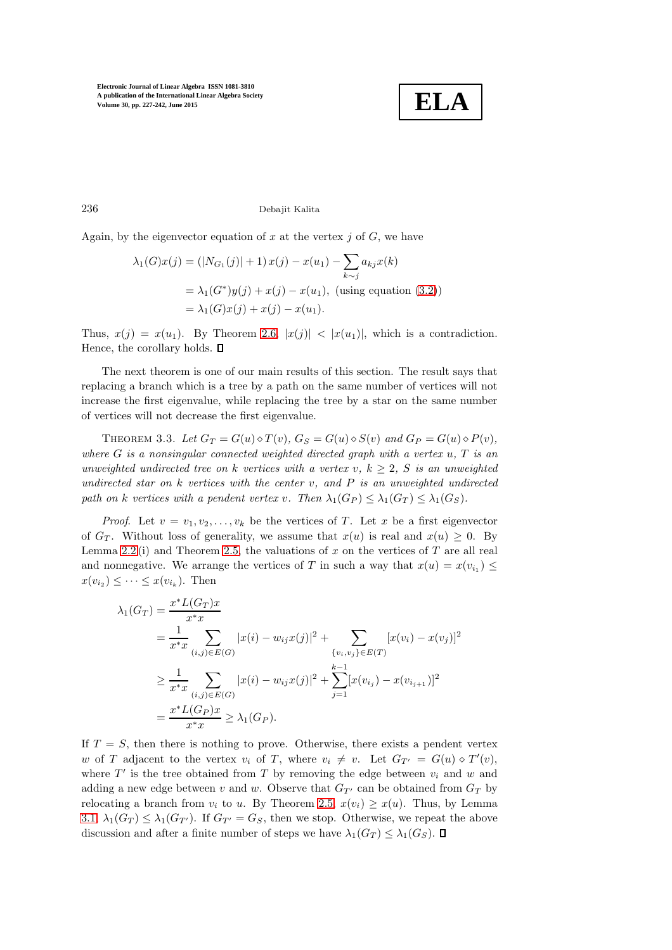

236 Debajit Kalita

Again, by the eigenvector equation of x at the vertex  $j$  of  $G$ , we have

$$
\lambda_1(G)x(j) = (|N_{G_1}(j)| + 1) x(j) - x(u_1) - \sum_{k \sim j} a_{kj} x(k)
$$
  
=  $\lambda_1(G^*)y(j) + x(j) - x(u_1)$ , (using equation (3.2))  
=  $\lambda_1(G)x(j) + x(j) - x(u_1)$ .

Thus,  $x(j) = x(u_1)$ . By Theorem [2.6,](#page-7-2)  $|x(j)| < |x(u_1)|$ , which is a contradiction. Hence, the corollary holds.  $\square$ 

The next theorem is one of our main results of this section. The result says that replacing a branch which is a tree by a path on the same number of vertices will not increase the first eigenvalue, while replacing the tree by a star on the same number of vertices will not decrease the first eigenvalue.

<span id="page-9-0"></span>THEOREM 3.3. Let  $G_T = G(u) \diamond T(v)$ ,  $G_S = G(u) \diamond S(v)$  and  $G_P = G(u) \diamond P(v)$ , where  $G$  is a nonsingular connected weighted directed graph with a vertex  $u, T$  is an unweighted undirected tree on k vertices with a vertex v,  $k \geq 2$ , S is an unweighted undirected star on  $k$  vertices with the center v, and  $P$  is an unweighted undirected path on k vertices with a pendent vertex v. Then  $\lambda_1(G_P) \leq \lambda_1(G_T) \leq \lambda_1(G_S)$ .

*Proof.* Let  $v = v_1, v_2, \ldots, v_k$  be the vertices of T. Let x be a first eigenvector of  $G_T$ . Without loss of generality, we assume that  $x(u)$  is real and  $x(u) \geq 0$ . By Lemma [2.2](#page-4-0) (i) and Theorem [2.5,](#page-6-0) the valuations of  $x$  on the vertices of  $T$  are all real and nonnegative. We arrange the vertices of T in such a way that  $x(u) = x(v_{i_1}) \leq$  $x(v_{i_2}) \leq \cdots \leq x(v_{i_k})$ . Then

$$
\lambda_1(G_T) = \frac{x^* L(G_T)x}{x^* x}
$$
  
\n
$$
= \frac{1}{x^* x} \sum_{(i,j) \in E(G)} |x(i) - w_{ij}x(j)|^2 + \sum_{\{v_i, v_j\} \in E(T)} [x(v_i) - x(v_j)]^2
$$
  
\n
$$
\geq \frac{1}{x^* x} \sum_{(i,j) \in E(G)} |x(i) - w_{ij}x(j)|^2 + \sum_{j=1}^{k-1} [x(v_{i,j}) - x(v_{i,j+1})]^2
$$
  
\n
$$
= \frac{x^* L(G_P)x}{x^* x} \geq \lambda_1(G_P).
$$

If  $T = S$ , then there is nothing to prove. Otherwise, there exists a pendent vertex w of T adjacent to the vertex  $v_i$  of T, where  $v_i \neq v$ . Let  $G_{T'} = G(u) \diamond T'(v)$ , where  $T'$  is the tree obtained from T by removing the edge between  $v_i$  and w and adding a new edge between v and w. Observe that  $G_{T'}$  can be obtained from  $G_T$  by relocating a branch from  $v_i$  to u. By Theorem [2.5,](#page-6-0)  $x(v_i) \geq x(u)$ . Thus, by Lemma [3.1,](#page-7-1)  $\lambda_1(G_T) \leq \lambda_1(G_{T'})$ . If  $G_{T'} = G_S$ , then we stop. Otherwise, we repeat the above discussion and after a finite number of steps we have  $\lambda_1(G_T) \leq \lambda_1(G_S)$ .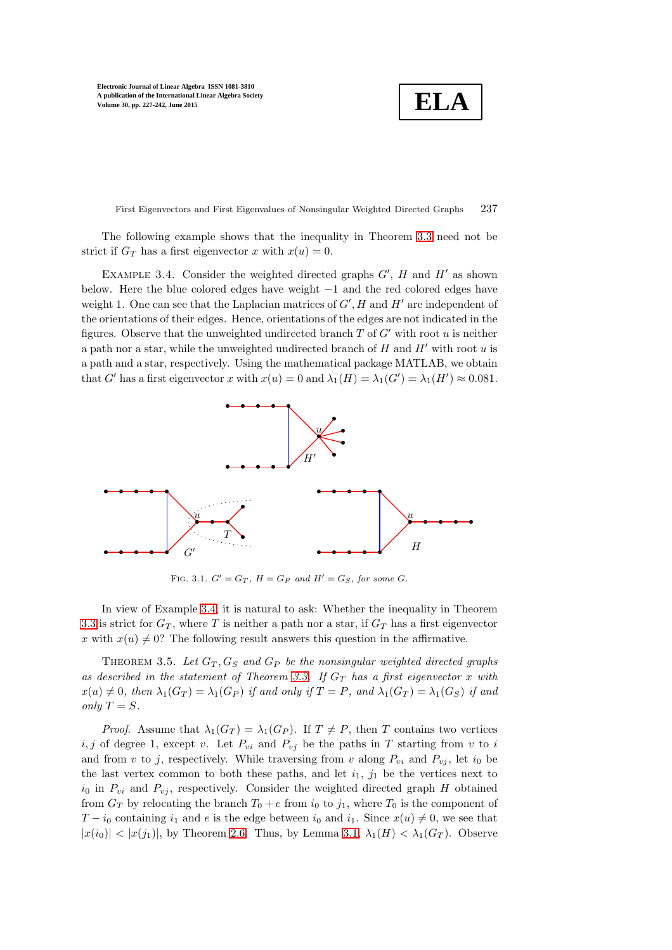**ELA**

First Eigenvectors and First Eigenvalues of Nonsingular Weighted Directed Graphs 237

<span id="page-10-0"></span>The following example shows that the inequality in Theorem [3.3](#page-9-0) need not be strict if  $G_T$  has a first eigenvector x with  $x(u) = 0$ .

EXAMPLE 3.4. Consider the weighted directed graphs  $G'$ ,  $H$  and  $H'$  as shown below. Here the blue colored edges have weight −1 and the red colored edges have weight 1. One can see that the Laplacian matrices of  $G'$ ,  $H$  and  $H'$  are independent of the orientations of their edges. Hence, orientations of the edges are not indicated in the figures. Observe that the unweighted undirected branch  $T$  of  $G'$  with root u is neither a path nor a star, while the unweighted undirected branch of  $H$  and  $H'$  with root  $u$  is a path and a star, respectively. Using the mathematical package MATLAB, we obtain that G' has a first eigenvector x with  $x(u) = 0$  and  $\lambda_1(H) = \lambda_1(G') = \lambda_1(H') \approx 0.081$ .



FIG. 3.1.  $G' = G_T$ ,  $H = G_P$  and  $H' = G_S$ , for some G.

In view of Example [3.4,](#page-10-0) it is natural to ask: Whether the inequality in Theorem [3.3](#page-9-0) is strict for  $G_T$ , where T is neither a path nor a star, if  $G_T$  has a first eigenvector x with  $x(u) \neq 0$ ? The following result answers this question in the affirmative.

<span id="page-10-1"></span>THEOREM 3.5. Let  $G_T$ ,  $G_S$  and  $G_P$  be the nonsingular weighted directed graphs as described in the statement of Theorem [3.3.](#page-9-0) If  $G_T$  has a first eigenvector x with  $x(u) \neq 0$ , then  $\lambda_1(G_T) = \lambda_1(G_P)$  if and only if  $T = P$ , and  $\lambda_1(G_T) = \lambda_1(G_S)$  if and only  $T = S$ .

*Proof.* Assume that  $\lambda_1(G_T) = \lambda_1(G_P)$ . If  $T \neq P$ , then T contains two vertices  $i, j$  of degree 1, except v. Let  $P_{vi}$  and  $P_{vj}$  be the paths in T starting from v to i and from v to j, respectively. While traversing from v along  $P_{vi}$  and  $P_{vi}$ , let  $i_0$  be the last vertex common to both these paths, and let  $i_1$ ,  $j_1$  be the vertices next to  $i_0$  in  $P_{vi}$  and  $P_{vj}$ , respectively. Consider the weighted directed graph H obtained from  $G_T$  by relocating the branch  $T_0 + e$  from  $i_0$  to  $j_1$ , where  $T_0$  is the component of  $T - i_0$  containing  $i_1$  and e is the edge between  $i_0$  and  $i_1$ . Since  $x(u) \neq 0$ , we see that  $|x(i_0)| < |x(j_1)|$ , by Theorem [2.6.](#page-7-2) Thus, by Lemma [3.1,](#page-7-1)  $\lambda_1(H) < \lambda_1(G_T)$ . Observe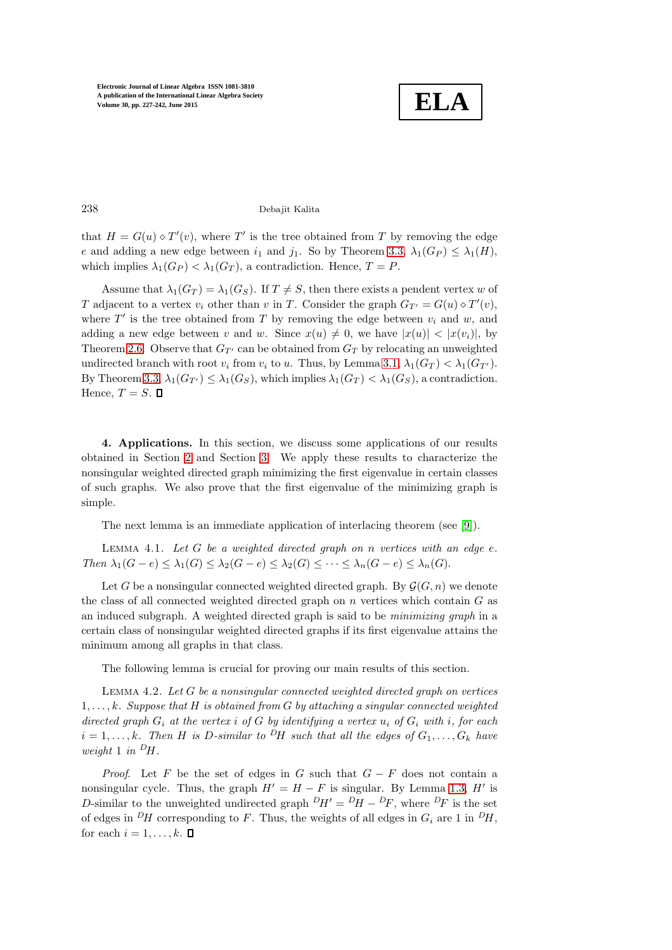

238 Debajit Kalita

that  $H = G(u) \diamond T'(v)$ , where T' is the tree obtained from T by removing the edge e and adding a new edge between  $i_1$  and  $j_1$ . So by Theorem [3.3,](#page-9-0)  $\lambda_1(G_P) \leq \lambda_1(H)$ , which implies  $\lambda_1(G_P) < \lambda_1(G_T)$ , a contradiction. Hence,  $T = P$ .

Assume that  $\lambda_1(G_T) = \lambda_1(G_S)$ . If  $T \neq S$ , then there exists a pendent vertex w of T adjacent to a vertex  $v_i$  other than v in T. Consider the graph  $G_{T'} = G(u) \diamond T'(v)$ , where  $T'$  is the tree obtained from T by removing the edge between  $v_i$  and w, and adding a new edge between v and w. Since  $x(u) \neq 0$ , we have  $|x(u)| < |x(v_i)|$ , by Theorem [2.6.](#page-7-2) Observe that  $G_{T'}$  can be obtained from  $G_T$  by relocating an unweighted undirected branch with root  $v_i$  from  $v_i$  to u. Thus, by Lemma [3.1,](#page-7-1)  $\lambda_1(G_T) < \lambda_1(G_{T'})$ . By Theorem [3.3,](#page-9-0)  $\lambda_1(G_{T'}) \leq \lambda_1(G_S)$ , which implies  $\lambda_1(G_T) < \lambda_1(G_S)$ , a contradiction. Hence,  $T = S$ .  $\Box$ 

<span id="page-11-0"></span>4. Applications. In this section, we discuss some applications of our results obtained in Section [2](#page-3-0) and Section [3.](#page-7-0) We apply these results to characterize the nonsingular weighted directed graph minimizing the first eigenvalue in certain classes of such graphs. We also prove that the first eigenvalue of the minimizing graph is simple.

<span id="page-11-1"></span>The next lemma is an immediate application of interlacing theorem (see [\[9\]](#page-15-5)).

LEMMA 4.1. Let  $G$  be a weighted directed graph on  $n$  vertices with an edge  $e$ . Then  $\lambda_1(G-e) \leq \lambda_1(G) \leq \lambda_2(G-e) \leq \lambda_2(G) \leq \cdots \leq \lambda_n(G-e) \leq \lambda_n(G)$ .

Let G be a nonsingular connected weighted directed graph. By  $\mathcal{G}(G, n)$  we denote the class of all connected weighted directed graph on  $n$  vertices which contain  $G$  as an induced subgraph. A weighted directed graph is said to be minimizing graph in a certain class of nonsingular weighted directed graphs if its first eigenvalue attains the minimum among all graphs in that class.

<span id="page-11-2"></span>The following lemma is crucial for proving our main results of this section.

LEMMA 4.2. Let  $G$  be a nonsingular connected weighted directed graph on vertices  $1, \ldots, k$ . Suppose that H is obtained from G by attaching a singular connected weighted directed graph  $G_i$  at the vertex i of G by identifying a vertex  $u_i$  of  $G_i$  with i, for each  $i = 1, \ldots, k$ . Then H is D-similar to <sup>D</sup>H such that all the edges of  $G_1, \ldots, G_k$  have weight 1 in  $\mathcal{D}_H$ .

*Proof.* Let F be the set of edges in G such that  $G - F$  does not contain a nonsingular cycle. Thus, the graph  $H' = H - F$  is singular. By Lemma [1.3,](#page-2-0) H' is D-similar to the unweighted undirected graph  $\frac{D_H}{=P} = \frac{D_H}{=P}$ , where  $\frac{D_F}{=P}$  is the set of edges in  $\mathcal{D}H$  corresponding to F. Thus, the weights of all edges in  $G_i$  are 1 in  $\mathcal{D}H$ , for each  $i = 1, \ldots, k$ .  $\Box$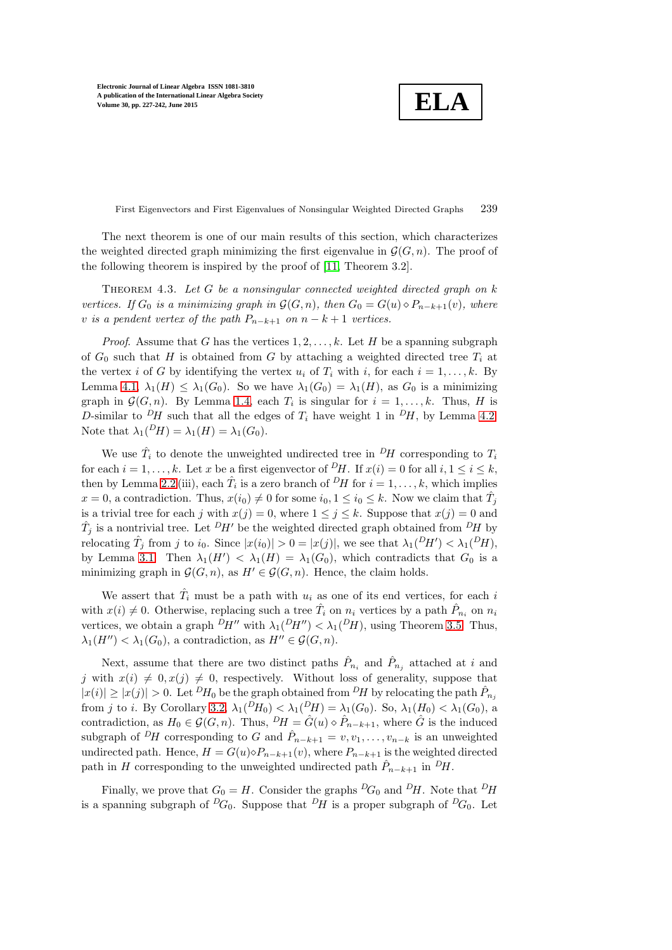**ELA**

First Eigenvectors and First Eigenvalues of Nonsingular Weighted Directed Graphs 239

The next theorem is one of our main results of this section, which characterizes the weighted directed graph minimizing the first eigenvalue in  $\mathcal{G}(G, n)$ . The proof of the following theorem is inspired by the proof of [\[11,](#page-15-9) Theorem 3.2].

<span id="page-12-0"></span>THEOREM 4.3. Let  $G$  be a nonsingular connected weighted directed graph on  $k$ vertices. If  $G_0$  is a minimizing graph in  $\mathcal{G}(G, n)$ , then  $G_0 = G(u) \diamond P_{n-k+1}(v)$ , where v is a pendent vertex of the path  $P_{n-k+1}$  on  $n-k+1$  vertices.

*Proof.* Assume that G has the vertices  $1, 2, \ldots, k$ . Let H be a spanning subgraph of  $G_0$  such that H is obtained from G by attaching a weighted directed tree  $T_i$  at the vertex i of G by identifying the vertex  $u_i$  of  $T_i$  with i, for each  $i = 1, \ldots, k$ . By Lemma [4.1,](#page-11-1)  $\lambda_1(H) \leq \lambda_1(G_0)$ . So we have  $\lambda_1(G_0) = \lambda_1(H)$ , as  $G_0$  is a minimizing graph in  $\mathcal{G}(G, n)$ . By Lemma [1.4,](#page-2-1) each  $T_i$  is singular for  $i = 1, ..., k$ . Thus, H is D-similar to <sup>D</sup>H such that all the edges of  $T_i$  have weight 1 in <sup>D</sup>H, by Lemma [4.2.](#page-11-2) Note that  $\lambda_1(PH) = \lambda_1(H) = \lambda_1(G_0)$ .

We use  $\hat{T}_i$  to denote the unweighted undirected tree in  $\frac{D_H}{D}$  corresponding to  $T_i$ for each  $i = 1, ..., k$ . Let x be a first eigenvector of <sup>D</sup>H. If  $x(i) = 0$  for all  $i, 1 \le i \le k$ , then by Lemma [2.2](#page-4-0) (iii), each  $\hat{T}_i$  is a zero branch of  $^D H$  for  $i = 1, \ldots, k$ , which implies  $x = 0$ , a contradiction. Thus,  $x(i_0) \neq 0$  for some  $i_0, 1 \leq i_0 \leq k$ . Now we claim that  $\hat{T}_j$ is a trivial tree for each j with  $x(j) = 0$ , where  $1 \le j \le k$ . Suppose that  $x(j) = 0$  and  $\hat{T}_j$  is a nontrivial tree. Let  $^D H'$  be the weighted directed graph obtained from  $^D H$  by relocating  $\hat{T}_j$  from j to  $i_0$ . Since  $|x(i_0)| > 0 = |x(j)|$ , we see that  $\lambda_1(^D H') < \lambda_1(^D H)$ , by Lemma [3.1.](#page-7-1) Then  $\lambda_1(H') < \lambda_1(H) = \lambda_1(G_0)$ , which contradicts that  $G_0$  is a minimizing graph in  $\mathcal{G}(G, n)$ , as  $H' \in \mathcal{G}(G, n)$ . Hence, the claim holds.

We assert that  $\hat{T}_i$  must be a path with  $u_i$  as one of its end vertices, for each i with  $x(i) \neq 0$ . Otherwise, replacing such a tree  $\hat{T}_i$  on  $n_i$  vertices by a path  $\hat{P}_{n_i}$  on  $n_i$ vertices, we obtain a graph  $^D H''$  with  $\lambda_1(^D H'') < \lambda_1(^D H)$ , using Theorem [3.5.](#page-10-1) Thus,  $\lambda_1(H'') < \lambda_1(G_0)$ , a contradiction, as  $H'' \in \mathcal{G}(G,n)$ .

Next, assume that there are two distinct paths  $\hat{P}_{n_i}$  and  $\hat{P}_{n_j}$  attached at i and j with  $x(i) \neq 0, x(j) \neq 0$ , respectively. Without loss of generality, suppose that  $|x(i)| \ge |x(j)| > 0$ . Let  $^D H_0$  be the graph obtained from  $^D H$  by relocating the path  $\hat{P}_{n_j}$ from j to i. By Corollary [3.2,](#page-8-2)  $\lambda_1(^D H_0) < \lambda_1(^D H) = \lambda_1(G_0)$ . So,  $\lambda_1(H_0) < \lambda_1(G_0)$ , a contradiction, as  $H_0 \in \mathcal{G}(G,n)$ . Thus,  $^D H = \hat{G}(u) \diamond \hat{P}_{n-k+1}$ , where  $\hat{G}$  is the induced subgraph of <sup>D</sup>H corresponding to G and  $\hat{P}_{n-k+1} = v, v_1, \ldots, v_{n-k}$  is an unweighted undirected path. Hence,  $H = G(u) \diamond P_{n-k+1}(v)$ , where  $P_{n-k+1}$  is the weighted directed path in H corresponding to the unweighted undirected path  $\hat{P}_{n-k+1}$  in  $\hat{P}_{H}$ .

Finally, we prove that  $G_0 = H$ . Consider the graphs  ${}^D G_0$  and  ${}^D H$ . Note that  ${}^D H$ is a spanning subgraph of  ${}^D G_0$ . Suppose that  ${}^D H$  is a proper subgraph of  ${}^D G_0$ . Let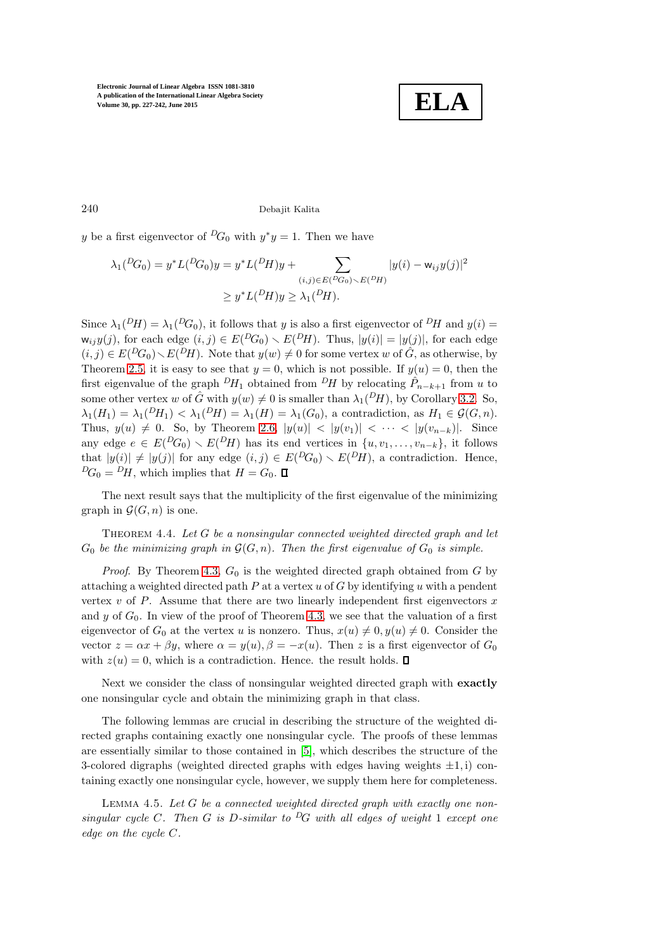

240 Debajit Kalita

y be a first eigenvector of  ${}^D G_0$  with  $y^*y = 1$ . Then we have

$$
\lambda_1({}^D G_0) = y^* L({}^D G_0) y = y^* L({}^D H) y + \sum_{(i,j) \in E({}^D G_0) \backslash E({}^D H)} |y(i) - w_{ij} y(j)|^2
$$
  
 
$$
\ge y^* L({}^D H) y \ge \lambda_1({}^D H).
$$

Since  $\lambda_1(^D H) = \lambda_1(^D G_0)$ , it follows that y is also a first eigenvector of  $^D H$  and  $y(i) =$  $\mathsf{w}_{ij}y(j)$ , for each edge  $(i, j) \in E({}^D\!G_0) \setminus E({}^D\!H)$ . Thus,  $|y(i)| = |y(j)|$ , for each edge  $(i, j) \in E({}^D G_0) \setminus E({}^D H)$ . Note that  $y(w) \neq 0$  for some vertex w of  $\hat{G}$ , as otherwise, by Theorem [2.5,](#page-6-0) it is easy to see that  $y = 0$ , which is not possible. If  $y(u) = 0$ , then the first eigenvalue of the graph  $^D H_1$  obtained from  $^D H$  by relocating  $\hat{P}_{n-k+1}$  from u to some other vertex w of  $\hat{G}$  with  $y(w) \neq 0$  is smaller than  $\lambda_1(^D H)$ , by Corollary [3.2.](#page-8-2) So,  $\lambda_1(H_1) = \lambda_1(H_1) < \lambda_1(H) = \lambda_1(H) = \lambda_1(G_0)$ , a contradiction, as  $H_1 \in \mathcal{G}(G,n)$ . Thus,  $y(u) \neq 0$ . So, by Theorem [2.6,](#page-7-2)  $|y(u)| < |y(v_1)| < \cdots < |y(v_{n-k})|$ . Since any edge  $e \in E(PG_0) \setminus E(PH)$  has its end vertices in  $\{u, v_1, \ldots, v_{n-k}\},$  it follows that  $|y(i)| \neq |y(j)|$  for any edge  $(i, j) \in E({}^D G_0) \setminus E({}^D H)$ , a contradiction. Hence,  ${}^{D}G_0 = {}^{D}H$ , which implies that  $H = G_0$ .  $\square$ 

The next result says that the multiplicity of the first eigenvalue of the minimizing graph in  $\mathcal{G}(G,n)$  is one.

THEOREM 4.4. Let  $G$  be a nonsingular connected weighted directed graph and let  $G_0$  be the minimizing graph in  $\mathcal{G}(G,n)$ . Then the first eigenvalue of  $G_0$  is simple.

*Proof.* By Theorem [4.3,](#page-12-0)  $G_0$  is the weighted directed graph obtained from  $G$  by attaching a weighted directed path  $P$  at a vertex  $u$  of  $G$  by identifying  $u$  with a pendent vertex  $v$  of  $P$ . Assume that there are two linearly independent first eigenvectors  $x$ and y of  $G_0$ . In view of the proof of Theorem [4.3,](#page-12-0) we see that the valuation of a first eigenvector of  $G_0$  at the vertex u is nonzero. Thus,  $x(u) \neq 0, y(u) \neq 0$ . Consider the vector  $z = \alpha x + \beta y$ , where  $\alpha = y(u)$ ,  $\beta = -x(u)$ . Then z is a first eigenvector of  $G_0$ with  $z(u) = 0$ , which is a contradiction. Hence. the result holds.  $\Box$ 

Next we consider the class of nonsingular weighted directed graph with exactly one nonsingular cycle and obtain the minimizing graph in that class.

The following lemmas are crucial in describing the structure of the weighted directed graphs containing exactly one nonsingular cycle. The proofs of these lemmas are essentially similar to those contained in [\[5\]](#page-15-10), which describes the structure of the 3-colored digraphs (weighted directed graphs with edges having weights  $\pm 1$ , i) containing exactly one nonsingular cycle, however, we supply them here for completeness.

<span id="page-13-0"></span>LEMMA 4.5. Let  $G$  be a connected weighted directed graph with exactly one nonsingular cycle C. Then G is D-similar to <sup>D</sup>G with all edges of weight 1 except one edge on the cycle C.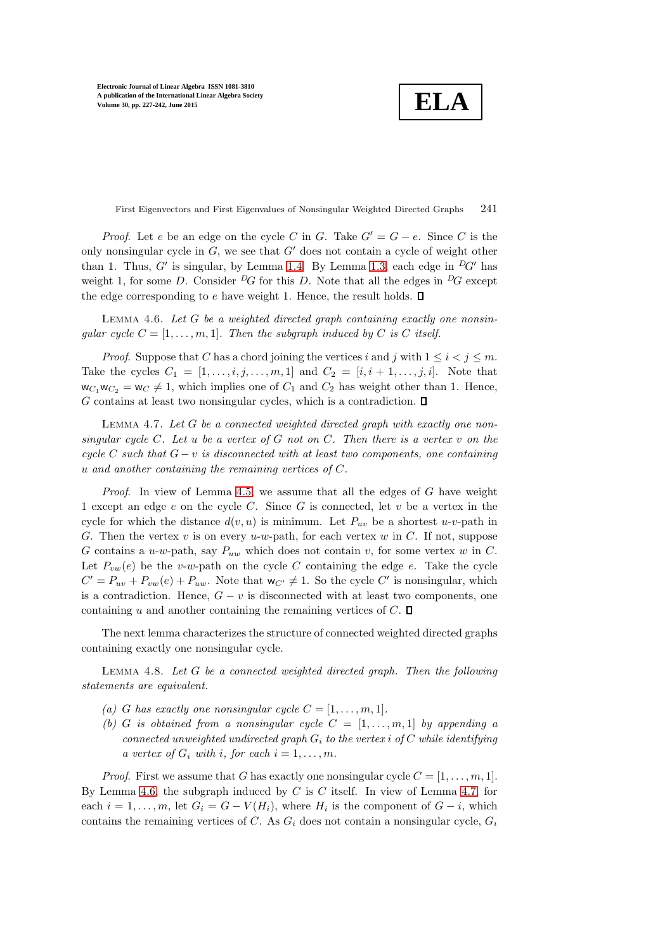**ELA**

First Eigenvectors and First Eigenvalues of Nonsingular Weighted Directed Graphs 241

*Proof.* Let e be an edge on the cycle C in G. Take  $G' = G - e$ . Since C is the only nonsingular cycle in  $G$ , we see that  $G'$  does not contain a cycle of weight other than 1. Thus,  $G'$  is singular, by Lemma [1.4.](#page-2-1) By Lemma [1.3,](#page-2-0) each edge in  ${}^D G'$  has weight 1, for some D. Consider  ${}^D G$  for this D. Note that all the edges in  ${}^D G$  except the edge corresponding to  $e$  have weight 1. Hence, the result holds.  $\square$ 

<span id="page-14-0"></span>LEMMA 4.6. Let  $G$  be a weighted directed graph containing exactly one nonsingular cycle  $C = [1, \ldots, m, 1]$ . Then the subgraph induced by C is C itself.

*Proof.* Suppose that C has a chord joining the vertices i and j with  $1 \leq i \leq j \leq m$ . Take the cycles  $C_1 = [1, ..., i, j, ..., m, 1]$  and  $C_2 = [i, i + 1, ..., j, i]$ . Note that  $w_{C_1}w_{C_2} = w_C \neq 1$ , which implies one of  $C_1$  and  $C_2$  has weight other than 1. Hence, G contains at least two nonsingular cycles, which is a contradiction.  $\square$ 

<span id="page-14-1"></span>LEMMA 4.7. Let  $G$  be a connected weighted directed graph with exactly one nonsingular cycle C. Let u be a vertex of G not on C. Then there is a vertex v on the cycle C such that  $G - v$  is disconnected with at least two components, one containing u and another containing the remaining vertices of C.

*Proof.* In view of Lemma [4.5,](#page-13-0) we assume that all the edges of  $G$  have weight 1 except an edge  $e$  on the cycle  $C$ . Since  $G$  is connected, let  $v$  be a vertex in the cycle for which the distance  $d(v, u)$  is minimum. Let  $P_{uv}$  be a shortest u-v-path in G. Then the vertex  $v$  is on every  $u-w$ -path, for each vertex  $w$  in  $C$ . If not, suppose G contains a u-w-path, say  $P_{uw}$  which does not contain v, for some vertex w in C. Let  $P_{vw}(e)$  be the v-w-path on the cycle C containing the edge e. Take the cycle  $C' = P_{uv} + P_{vw}(e) + P_{uw}$ . Note that  $w_{C'} \neq 1$ . So the cycle  $C'$  is nonsingular, which is a contradiction. Hence,  $G - v$  is disconnected with at least two components, one containing u and another containing the remaining vertices of  $C$ .  $\Box$ 

<span id="page-14-2"></span>The next lemma characterizes the structure of connected weighted directed graphs containing exactly one nonsingular cycle.

LEMMA 4.8. Let  $G$  be a connected weighted directed graph. Then the following statements are equivalent.

- (a) G has exactly one nonsingular cycle  $C = [1, \ldots, m, 1].$
- (b) G is obtained from a nonsingular cycle  $C = [1, \ldots, m, 1]$  by appending a connected unweighted undirected graph  $G_i$  to the vertex i of C while identifying a vertex of  $G_i$  with i, for each  $i = 1, \ldots, m$ .

*Proof.* First we assume that G has exactly one nonsingular cycle  $C = [1, \ldots, m, 1]$ . By Lemma [4.6,](#page-14-0) the subgraph induced by  $C$  is  $C$  itself. In view of Lemma [4.7,](#page-14-1) for each  $i = 1, \ldots, m$ , let  $G_i = G - V(H_i)$ , where  $H_i$  is the component of  $G - i$ , which contains the remaining vertices of C. As  $G_i$  does not contain a nonsingular cycle,  $G_i$